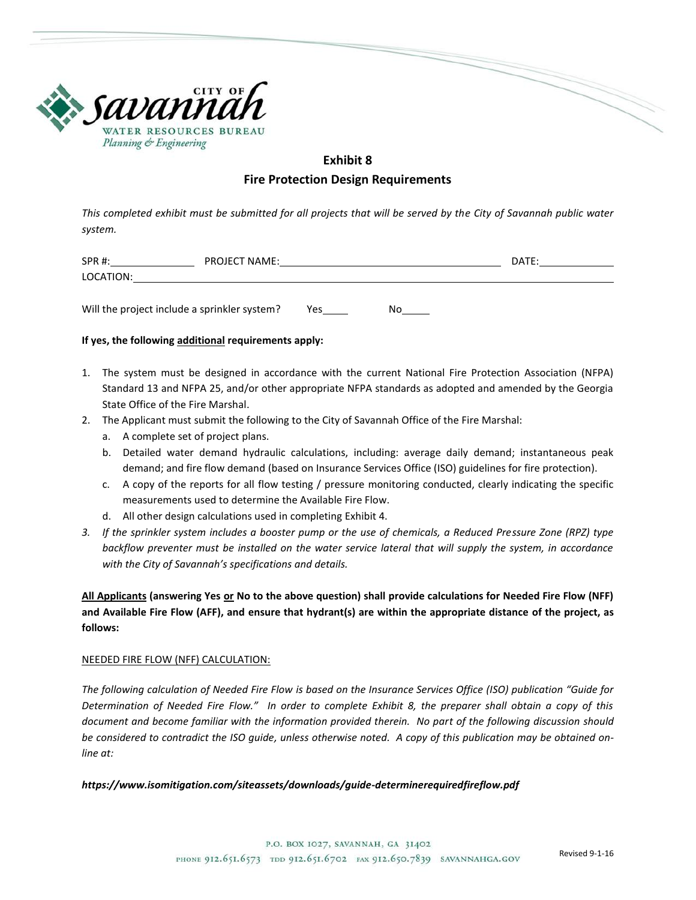

# **Exhibit 8**

## **Fire Protection Design Requirements**

*This completed exhibit must be submitted for all projects that will be served by the City of Savannah public water system.*

| <b>SPR#:</b> | <b>PROJECT NAME:</b> | <b>DATE</b> |
|--------------|----------------------|-------------|
| LOCATION:    |                      |             |
|              |                      |             |

Will the project include a sprinkler system? Yes No

## **If yes, the following additional requirements apply:**

- 1. The system must be designed in accordance with the current National Fire Protection Association (NFPA) Standard 13 and NFPA 25, and/or other appropriate NFPA standards as adopted and amended by the Georgia State Office of the Fire Marshal.
- 2. The Applicant must submit the following to the City of Savannah Office of the Fire Marshal:
	- a. A complete set of project plans.
	- b. Detailed water demand hydraulic calculations, including: average daily demand; instantaneous peak demand; and fire flow demand (based on Insurance Services Office (ISO) guidelines for fire protection).
	- c. A copy of the reports for all flow testing / pressure monitoring conducted, clearly indicating the specific measurements used to determine the Available Fire Flow.
	- d. All other design calculations used in completing Exhibit 4.
- *3. If the sprinkler system includes a booster pump or the use of chemicals, a Reduced Pressure Zone (RPZ) type backflow preventer must be installed on the water service lateral that will supply the system, in accordance with the City of Savannah's specifications and details.*

**All Applicants (answering Yes or No to the above question) shall provide calculations for Needed Fire Flow (NFF) and Available Fire Flow (AFF), and ensure that hydrant(s) are within the appropriate distance of the project, as follows:**

#### NEEDED FIRE FLOW (NFF) CALCULATION:

*The following calculation of Needed Fire Flow is based on the Insurance Services Office (ISO) publication "Guide for Determination of Needed Fire Flow." In order to complete Exhibit 8, the preparer shall obtain a copy of this document and become familiar with the information provided therein. No part of the following discussion should be considered to contradict the ISO guide, unless otherwise noted. A copy of this publication may be obtained online at:*

#### *https://www.isomitigation.com/siteassets/downloads/guide-determinerequiredfireflow.pdf*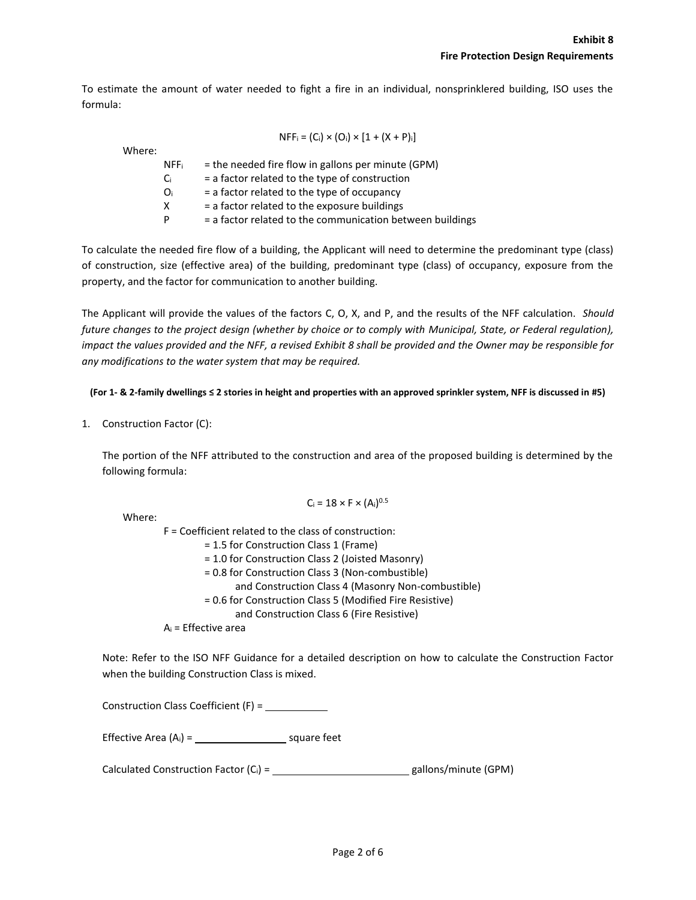To estimate the amount of water needed to fight a fire in an individual, nonsprinklered building, ISO uses the formula:

| $NFF_i = (C_i) \times (O_i) \times [1 + (X + P)_i]$                |  |
|--------------------------------------------------------------------|--|
| Where:                                                             |  |
| = the needed fire flow in gallons per minute (GPM)<br><b>NFF</b> i |  |
| $=$ a factor related to the type of construction<br>Ci.            |  |
| $=$ a factor related to the type of occupancy<br>Oi                |  |
| = a factor related to the exposure buildings<br>X                  |  |
| = a factor related to the communication between buildings<br>P     |  |

To calculate the needed fire flow of a building, the Applicant will need to determine the predominant type (class) of construction, size (effective area) of the building, predominant type (class) of occupancy, exposure from the property, and the factor for communication to another building.

The Applicant will provide the values of the factors C, O, X, and P, and the results of the NFF calculation. *Should*  future changes to the project design (whether by choice or to comply with Municipal, State, or Federal regulation), *impact the values provided and the NFF, a revised Exhibit 8 shall be provided and the Owner may be responsible for any modifications to the water system that may be required.*

**(For 1- & 2-family dwellings ≤ 2 stories in height and properties with an approved sprinkler system, NFF is discussed in #5)**

1. Construction Factor (C):

The portion of the NFF attributed to the construction and area of the proposed building is determined by the following formula:

| $C_i = 18 \times F \times (A_i)^{0.5}$ |  |  |
|----------------------------------------|--|--|
|----------------------------------------|--|--|

| Where: |                                                          |
|--------|----------------------------------------------------------|
|        | $F = Coefficient$ related to the class of construction:  |
|        | = 1.5 for Construction Class 1 (Frame)                   |
|        | = 1.0 for Construction Class 2 (Joisted Masonry)         |
|        | = 0.8 for Construction Class 3 (Non-combustible)         |
|        | and Construction Class 4 (Masonry Non-combustible)       |
|        | = 0.6 for Construction Class 5 (Modified Fire Resistive) |
|        | and Construction Class 6 (Fire Resistive)                |
|        | $A_i$ = Effective area                                   |

Note: Refer to the ISO NFF Guidance for a detailed description on how to calculate the Construction Factor when the building Construction Class is mixed.

Construction Class Coefficient (F) =

Effective Area  $(A_i) =$  square feet

Calculated Construction Factor  $(C_i) =$  \_\_\_\_\_\_\_\_\_\_\_\_\_\_\_\_\_\_\_\_\_\_\_\_\_\_\_\_\_\_\_gallons/minute (GPM)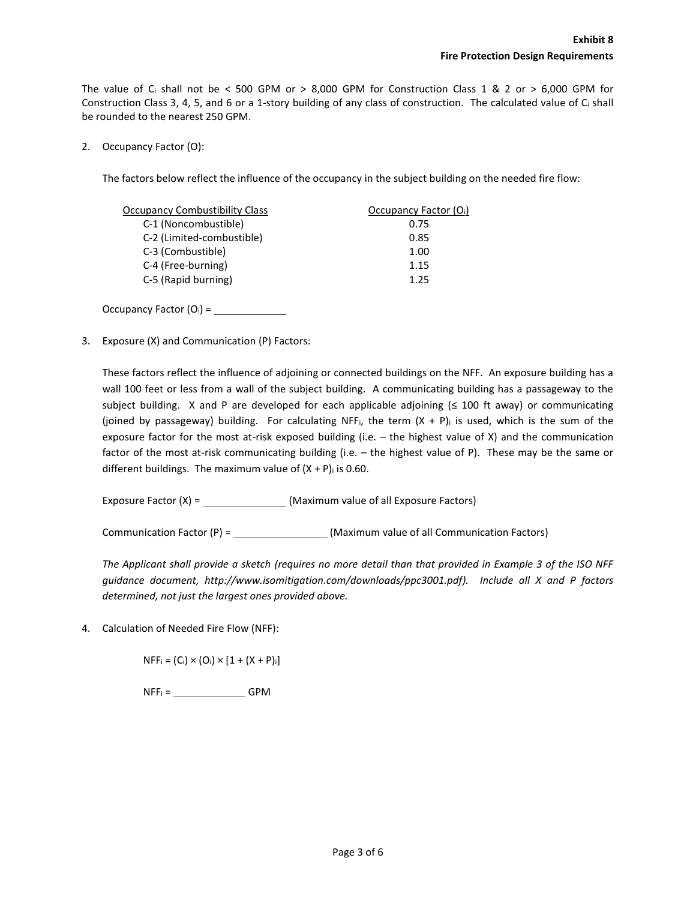The value of C<sub>i</sub> shall not be < 500 GPM or > 8,000 GPM for Construction Class 1 & 2 or > 6,000 GPM for Construction Class 3, 4, 5, and 6 or a 1-story building of any class of construction. The calculated value of C<sup>i</sup> shall be rounded to the nearest 250 GPM.

2. Occupancy Factor (O):

The factors below reflect the influence of the occupancy in the subject building on the needed fire flow:

| <b>Occupancy Combustibility Class</b> | Occupancy Factor (Oi) |
|---------------------------------------|-----------------------|
| C-1 (Noncombustible)                  | 0.75                  |
| C-2 (Limited-combustible)             | 0.85                  |
| C-3 (Combustible)                     | 1.00                  |
| C-4 (Free-burning)                    | 1.15                  |
| C-5 (Rapid burning)                   | 1.25                  |

Occupancy Factor (Oi) =

3. Exposure (X) and Communication (P) Factors:

These factors reflect the influence of adjoining or connected buildings on the NFF. An exposure building has a wall 100 feet or less from a wall of the subject building. A communicating building has a passageway to the subject building. X and P are developed for each applicable adjoining (≤ 100 ft away) or communicating (joined by passageway) building. For calculating NFF<sub>i</sub>, the term  $(X + P)$  is used, which is the sum of the exposure factor for the most at-risk exposed building (i.e. – the highest value of X) and the communication factor of the most at-risk communicating building (i.e. – the highest value of P). These may be the same or different buildings. The maximum value of  $(X + P)$  is 0.60.

Exposure Factor (X) = (Maximum value of all Exposure Factors)

Communication Factor (P) = (Maximum value of all Communication Factors)

*The Applicant shall provide a sketch (requires no more detail than that provided in Example 3 of the ISO NFF guidance document, http://www.isomitigation.com/downloads/ppc3001.pdf). Include all X and P factors determined, not just the largest ones provided above.*

4. Calculation of Needed Fire Flow (NFF):

 $NFF_i = (C_i) \times (O_i) \times [1 + (X + P)_i]$ 

 $NFF_i =$  GPM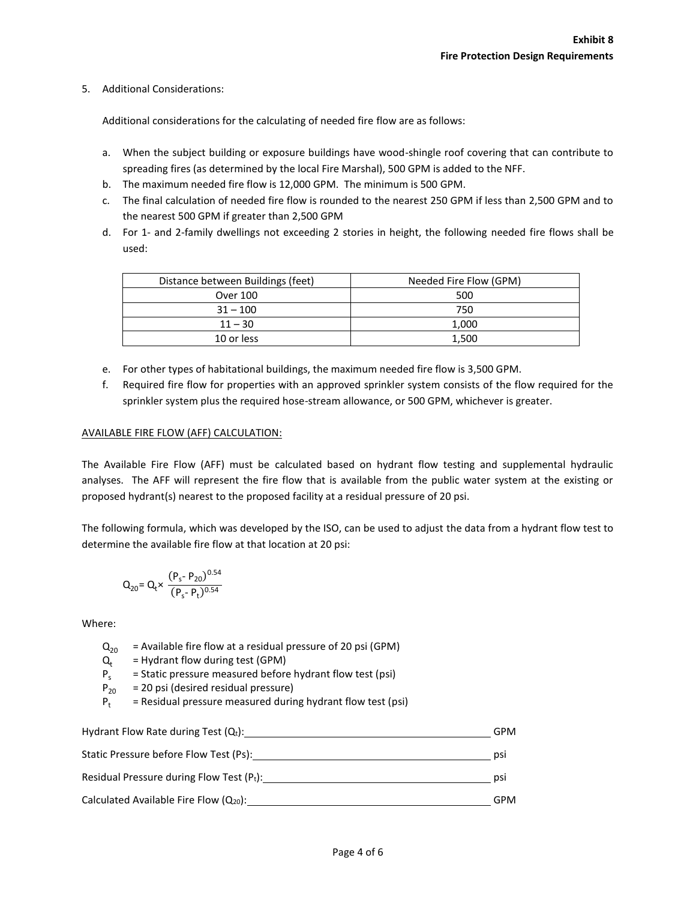## 5. Additional Considerations:

Additional considerations for the calculating of needed fire flow are as follows:

- a. When the subject building or exposure buildings have wood-shingle roof covering that can contribute to spreading fires (as determined by the local Fire Marshal), 500 GPM is added to the NFF.
- b. The maximum needed fire flow is 12,000 GPM. The minimum is 500 GPM.
- c. The final calculation of needed fire flow is rounded to the nearest 250 GPM if less than 2,500 GPM and to the nearest 500 GPM if greater than 2,500 GPM
- d. For 1- and 2-family dwellings not exceeding 2 stories in height, the following needed fire flows shall be used:

| Distance between Buildings (feet) | Needed Fire Flow (GPM) |
|-----------------------------------|------------------------|
| Over 100                          | 500                    |
| $31 - 100$                        | 750                    |
| $11 - 30$                         | 1,000                  |
| 10 or less                        | 1.500                  |

- e. For other types of habitational buildings, the maximum needed fire flow is 3,500 GPM.
- f. Required fire flow for properties with an approved sprinkler system consists of the flow required for the sprinkler system plus the required hose-stream allowance, or 500 GPM, whichever is greater.

## AVAILABLE FIRE FLOW (AFF) CALCULATION:

The Available Fire Flow (AFF) must be calculated based on hydrant flow testing and supplemental hydraulic analyses. The AFF will represent the fire flow that is available from the public water system at the existing or proposed hydrant(s) nearest to the proposed facility at a residual pressure of 20 psi.

The following formula, which was developed by the ISO, can be used to adjust the data from a hydrant flow test to determine the available fire flow at that location at 20 psi:

$$
Q_{20}\text{=Q}_{t} \times \frac{(P_{s}\text{-} P_{20})^{0.54}}{(P_{s}\text{-} P_{t})^{0.54}}
$$

Where:

- $Q_{20}$  = Available fire flow at a residual pressure of 20 psi (GPM)
- $Q_t$ <br> $P_s$ = Hydrant flow during test (GPM)
- $P_s$  = Static pressure measured before hydrant flow test (psi)<br> $P_{20}$  = 20 psi (desired residual pressure)
- = 20 psi (desired residual pressure)
- $P_t$  = Residual pressure measured during hydrant flow test (psi)

| Hydrant Flow Rate during Test $(Q_t)$ :      | <b>GPM</b> |
|----------------------------------------------|------------|
| Static Pressure before Flow Test (Ps):       | psi        |
| Residual Pressure during Flow Test $(P_t)$ : | psi        |
| Calculated Available Fire Flow $(Q_{20})$ :  | <b>GPM</b> |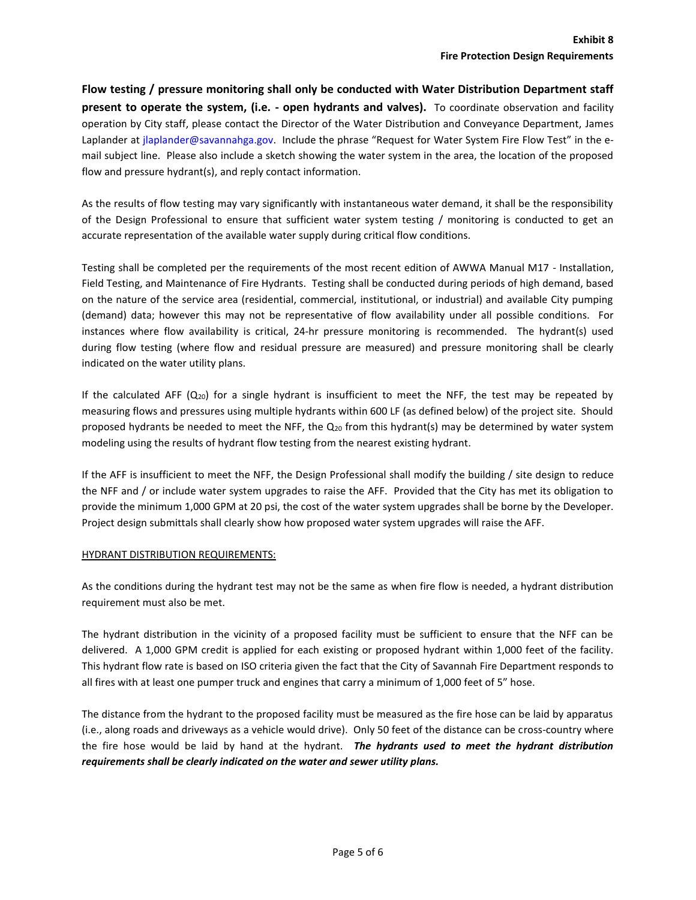**Flow testing / pressure monitoring shall only be conducted with Water Distribution Department staff present to operate the system, (i.e. - open hydrants and valves).** To coordinate observation and facility operation by City staff, please contact the Director of the Water Distribution and Conveyance Department, James Laplander at jlaplander@savannahga.gov. Include the phrase "Request for Water System Fire Flow Test" in the email subject line. Please also include a sketch showing the water system in the area, the location of the proposed flow and pressure hydrant(s), and reply contact information.

As the results of flow testing may vary significantly with instantaneous water demand, it shall be the responsibility of the Design Professional to ensure that sufficient water system testing / monitoring is conducted to get an accurate representation of the available water supply during critical flow conditions.

Testing shall be completed per the requirements of the most recent edition of AWWA Manual M17 - Installation, Field Testing, and Maintenance of Fire Hydrants. Testing shall be conducted during periods of high demand, based on the nature of the service area (residential, commercial, institutional, or industrial) and available City pumping (demand) data; however this may not be representative of flow availability under all possible conditions. For instances where flow availability is critical, 24-hr pressure monitoring is recommended. The hydrant(s) used during flow testing (where flow and residual pressure are measured) and pressure monitoring shall be clearly indicated on the water utility plans.

If the calculated AFF  $(Q_{20})$  for a single hydrant is insufficient to meet the NFF, the test may be repeated by measuring flows and pressures using multiple hydrants within 600 LF (as defined below) of the project site. Should proposed hydrants be needed to meet the NFF, the  $Q_{20}$  from this hydrant(s) may be determined by water system modeling using the results of hydrant flow testing from the nearest existing hydrant.

If the AFF is insufficient to meet the NFF, the Design Professional shall modify the building / site design to reduce the NFF and / or include water system upgrades to raise the AFF. Provided that the City has met its obligation to provide the minimum 1,000 GPM at 20 psi, the cost of the water system upgrades shall be borne by the Developer. Project design submittals shall clearly show how proposed water system upgrades will raise the AFF.

## HYDRANT DISTRIBUTION REQUIREMENTS:

As the conditions during the hydrant test may not be the same as when fire flow is needed, a hydrant distribution requirement must also be met.

The hydrant distribution in the vicinity of a proposed facility must be sufficient to ensure that the NFF can be delivered. A 1,000 GPM credit is applied for each existing or proposed hydrant within 1,000 feet of the facility. This hydrant flow rate is based on ISO criteria given the fact that the City of Savannah Fire Department responds to all fires with at least one pumper truck and engines that carry a minimum of 1,000 feet of 5" hose.

The distance from the hydrant to the proposed facility must be measured as the fire hose can be laid by apparatus (i.e., along roads and driveways as a vehicle would drive). Only 50 feet of the distance can be cross-country where the fire hose would be laid by hand at the hydrant. *The hydrants used to meet the hydrant distribution requirements shall be clearly indicated on the water and sewer utility plans.*